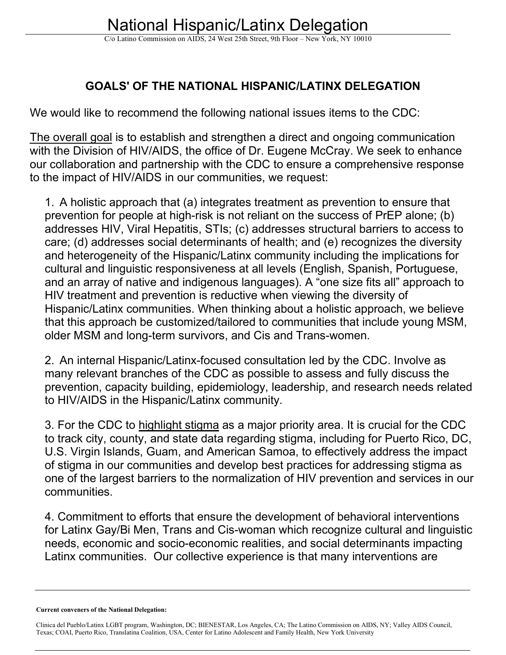C/o Latino Commission on AIDS, 24 West 25th Street, 9th Floor – New York, NY 10010

## **GOALS' OF THE NATIONAL HISPANIC/LATINX DELEGATION**

We would like to recommend the following national issues items to the CDC:

The overall goal is to establish and strengthen a direct and ongoing communication with the Division of HIV/AIDS, the office of Dr. Eugene McCray. We seek to enhance our collaboration and partnership with the CDC to ensure a comprehensive response to the impact of HIV/AIDS in our communities, we request:

1. A holistic approach that (a) integrates treatment as prevention to ensure that prevention for people at high-risk is not reliant on the success of PrEP alone; (b) addresses HIV, Viral Hepatitis, STIs; (c) addresses structural barriers to access to care; (d) addresses social determinants of health; and (e) recognizes the diversity and heterogeneity of the Hispanic/Latinx community including the implications for cultural and linguistic responsiveness at all levels (English, Spanish, Portuguese, and an array of native and indigenous languages). A "one size fits all" approach to HIV treatment and prevention is reductive when viewing the diversity of Hispanic/Latinx communities. When thinking about a holistic approach, we believe that this approach be customized/tailored to communities that include young MSM, older MSM and long-term survivors, and Cis and Trans-women.

2. An internal Hispanic/Latinx-focused consultation led by the CDC. Involve as many relevant branches of the CDC as possible to assess and fully discuss the prevention, capacity building, epidemiology, leadership, and research needs related to HIV/AIDS in the Hispanic/Latinx community.

3. For the CDC to highlight stigma as a major priority area. It is crucial for the CDC to track city, county, and state data regarding stigma, including for Puerto Rico, DC, U.S. Virgin Islands, Guam, and American Samoa, to effectively address the impact of stigma in our communities and develop best practices for addressing stigma as one of the largest barriers to the normalization of HIV prevention and services in our communities.

4. Commitment to efforts that ensure the development of behavioral interventions for Latinx Gay/Bi Men, Trans and Cis-woman which recognize cultural and linguistic needs, economic and socio-economic realities, and social determinants impacting Latinx communities. Our collective experience is that many interventions are

**Current conveners of the National Delegation:**

Clinica del Pueblo/Latinx LGBT program, Washington, DC; BIENESTAR, Los Angeles, CA; The Latino Commission on AIDS, NY; Valley AIDS Council, Texas; COAI, Puerto Rico, Translatina Coalition, USA, Center for Latino Adolescent and Family Health, New York University